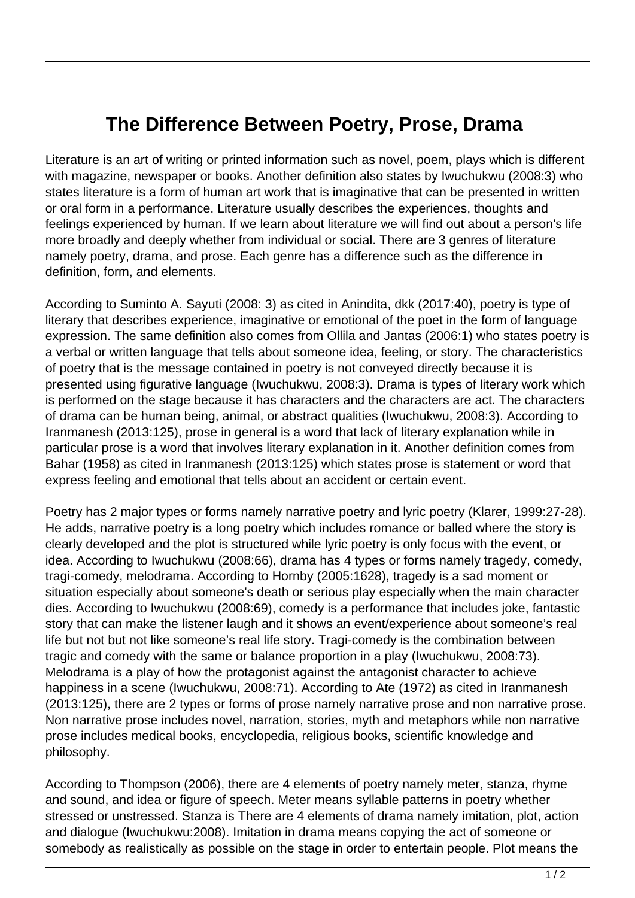## **The Difference Between Poetry, Prose, Drama**

Literature is an art of writing or printed information such as novel, poem, plays which is different with magazine, newspaper or books. Another definition also states by Iwuchukwu (2008:3) who states literature is a form of human art work that is imaginative that can be presented in written or oral form in a performance. Literature usually describes the experiences, thoughts and feelings experienced by human. If we learn about literature we will find out about a person's life more broadly and deeply whether from individual or social. There are 3 genres of literature namely poetry, drama, and prose. Each genre has a difference such as the difference in definition, form, and elements.

According to Suminto A. Sayuti (2008: 3) as cited in Anindita, dkk (2017:40), poetry is type of literary that describes experience, imaginative or emotional of the poet in the form of language expression. The same definition also comes from Ollila and Jantas (2006:1) who states poetry is a verbal or written language that tells about someone idea, feeling, or story. The characteristics of poetry that is the message contained in poetry is not conveyed directly because it is presented using figurative language (Iwuchukwu, 2008:3). Drama is types of literary work which is performed on the stage because it has characters and the characters are act. The characters of drama can be human being, animal, or abstract qualities (Iwuchukwu, 2008:3). According to Iranmanesh (2013:125), prose in general is a word that lack of literary explanation while in particular prose is a word that involves literary explanation in it. Another definition comes from Bahar (1958) as cited in Iranmanesh (2013:125) which states prose is statement or word that express feeling and emotional that tells about an accident or certain event.

Poetry has 2 major types or forms namely narrative poetry and lyric poetry (Klarer, 1999:27-28). He adds, narrative poetry is a long poetry which includes romance or balled where the story is clearly developed and the plot is structured while lyric poetry is only focus with the event, or idea. According to Iwuchukwu (2008:66), drama has 4 types or forms namely tragedy, comedy, tragi-comedy, melodrama. According to Hornby (2005:1628), tragedy is a sad moment or situation especially about someone's death or serious play especially when the main character dies. According to Iwuchukwu (2008:69), comedy is a performance that includes joke, fantastic story that can make the listener laugh and it shows an event/experience about someone's real life but not but not like someone's real life story. Tragi-comedy is the combination between tragic and comedy with the same or balance proportion in a play (Iwuchukwu, 2008:73). Melodrama is a play of how the protagonist against the antagonist character to achieve happiness in a scene (Iwuchukwu, 2008:71). According to Ate (1972) as cited in Iranmanesh (2013:125), there are 2 types or forms of prose namely narrative prose and non narrative prose. Non narrative prose includes novel, narration, stories, myth and metaphors while non narrative prose includes medical books, encyclopedia, religious books, scientific knowledge and philosophy.

According to Thompson (2006), there are 4 elements of poetry namely meter, stanza, rhyme and sound, and idea or figure of speech. Meter means syllable patterns in poetry whether stressed or unstressed. Stanza is There are 4 elements of drama namely imitation, plot, action and dialogue (Iwuchukwu:2008). Imitation in drama means copying the act of someone or somebody as realistically as possible on the stage in order to entertain people. Plot means the